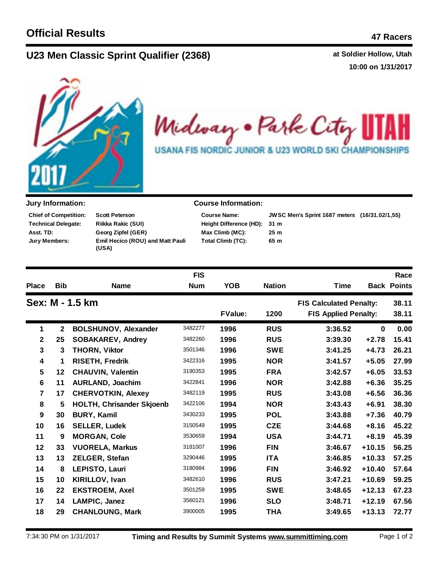## **U23 Men C at Soldier Hollow, Utah lassic Sprint Qualifier (2368)**

**10:00 on 1/31/2017**



Midway . Park City ł. USANA FIS NORDIC JUNIOR & U23 WORLD SKI CHAMPIONSHIPS

| <b>Chief of Competition:</b> | <b>Scott Peterson</b>                            |
|------------------------------|--------------------------------------------------|
| <b>Technical Delegate:</b>   | <b>Riikka Rakic (SUI)</b>                        |
| Asst. TD:                    | Georg Zipfel (GER)                               |
| Jury Members:                | <b>Emil Hecico (ROU) and Matt Pauli</b><br>(USA) |

## **Jury Information: Course Information:**

| <b>JWS</b> |  |  |
|------------|--|--|
| 31 m       |  |  |
| 25m        |  |  |
| 65 m       |  |  |
|            |  |  |

**31 m JWSC Men's Sprint 1687 meters (16/31.02/1,55) Max Climb (MC): 25 m**

|                 |                                  | <b>FIS</b> |                |                                |                             |          | Race               |
|-----------------|----------------------------------|------------|----------------|--------------------------------|-----------------------------|----------|--------------------|
| <b>Bib</b>      | <b>Name</b>                      | <b>Num</b> | <b>YOB</b>     | <b>Nation</b>                  | <b>Time</b>                 |          | <b>Back Points</b> |
| Sex: M - 1.5 km |                                  |            |                | <b>FIS Calculated Penalty:</b> |                             | 38.11    |                    |
|                 |                                  |            | <b>FValue:</b> | 1200                           | <b>FIS Applied Penalty:</b> |          | 38.11              |
| $\mathbf{2}$    | <b>BOLSHUNOV, Alexander</b>      | 3482277    | 1996           | <b>RUS</b>                     | 3:36.52                     | $\bf{0}$ | 0.00               |
| 25              | <b>SOBAKAREV, Andrey</b>         | 3482260    | 1996           | <b>RUS</b>                     | 3:39.30                     | $+2.78$  | 15.41              |
| 3               | <b>THORN, Viktor</b>             | 3501346    | 1996           | <b>SWE</b>                     | 3:41.25                     | $+4.73$  | 26.21              |
| 1               | RISETH, Fredrik                  | 3422316    | 1995           | <b>NOR</b>                     | 3:41.57                     | $+5.05$  | 27.99              |
| 12              | <b>CHAUVIN, Valentin</b>         | 3190353    | 1995           | <b>FRA</b>                     | 3:42.57                     | $+6.05$  | 33.53              |
| 11              | <b>AURLAND, Joachim</b>          | 3422841    | 1996           | <b>NOR</b>                     | 3:42.88                     | $+6.36$  | 35.25              |
| 17              | <b>CHERVOTKIN, Alexey</b>        | 3482119    | 1995           | <b>RUS</b>                     | 3:43.08                     | $+6.56$  | 36.36              |
| 5               | <b>HOLTH, Chrisander Skjoenb</b> | 3422106    | 1994           | <b>NOR</b>                     | 3:43.43                     | $+6.91$  | 38.30              |
| 30              | <b>BURY, Kamil</b>               | 3430233    | 1995           | <b>POL</b>                     | 3:43.88                     | $+7.36$  | 40.79              |
| 16              | <b>SELLER, Ludek</b>             | 3150549    | 1995           | <b>CZE</b>                     | 3:44.68                     | $+8.16$  | 45.22              |
| 9               | <b>MORGAN, Cole</b>              | 3530659    | 1994           | <b>USA</b>                     | 3:44.71                     | $+8.19$  | 45.39              |
| 33              | <b>VUORELA, Markus</b>           | 3181007    | 1996           | <b>FIN</b>                     | 3:46.67                     | $+10.15$ | 56.25              |
| 13              | ZELGER, Stefan                   | 3290446    | 1995           | <b>ITA</b>                     | 3:46.85                     | $+10.33$ | 57.25              |
| 8               | LEPISTO, Lauri                   | 3180984    | 1996           | <b>FIN</b>                     | 3:46.92                     | $+10.40$ | 57.64              |
| 10              | KIRILLOV, Ivan                   | 3482610    | 1996           | <b>RUS</b>                     | 3:47.21                     | $+10.69$ | 59.25              |
| 22              | <b>EKSTROEM, Axel</b>            | 3501259    | 1995           | <b>SWE</b>                     | 3:48.65                     | $+12.13$ | 67.23              |
| 14              | LAMPIC, Janez                    | 3560121    | 1996           | <b>SLO</b>                     | 3:48.71                     | $+12.19$ | 67.56              |
| 29              | <b>CHANLOUNG, Mark</b>           | 3900005    | 1995           | <b>THA</b>                     | 3:49.65                     | $+13.13$ | 72.77              |
|                 |                                  |            |                |                                |                             |          |                    |